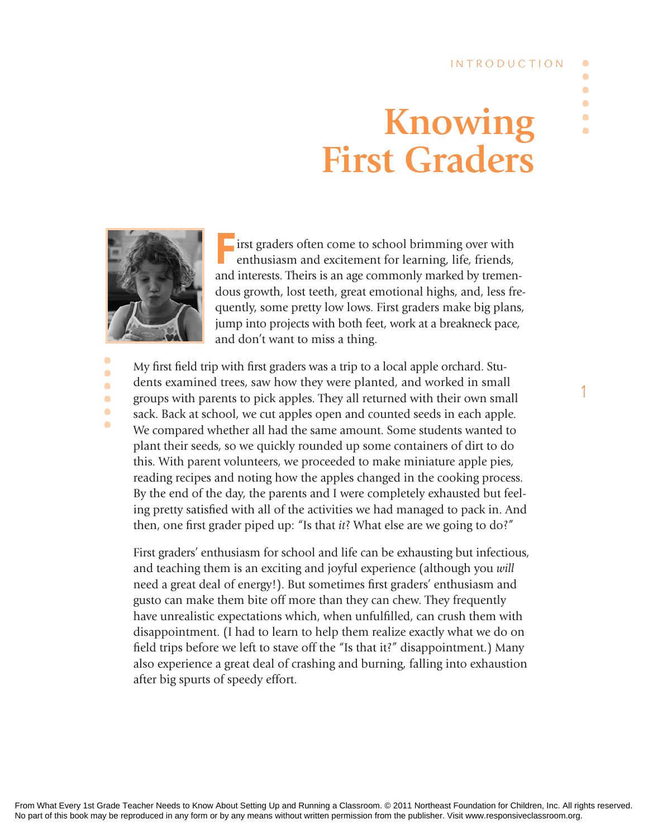#### **I N T R O D U C T I O N**

 $\bullet$  $\blacksquare$ 

**1**

# **Knowing First Graders**



**......**

 $\bullet$  $\bullet$  $\blacksquare$  $\bullet$  $\qquad \qquad \blacksquare$  $\bullet$ 

**First graders often come to school brimming over with** enthusiasm and excitement for learning, life, friends, and interests. Theirs is an age commonly marked by tremendous growth, lost teeth, great emotional highs, and, less frequently, some pretty low lows. First graders make big plans, jump into projects with both feet, work at a breakneck pace, and don't want to miss a thing.

My first field trip with first graders was a trip to a local apple orchard. Students examined trees, saw how they were planted, and worked in small groups with parents to pick apples. They all returned with their own small sack. Back at school, we cut apples open and counted seeds in each apple. We compared whether all had the same amount. Some students wanted to plant their seeds, so we quickly rounded up some containers of dirt to do this. With parent volunteers, we proceeded to make miniature apple pies, reading recipes and noting how the apples changed in the cooking process. By the end of the day, the parents and I were completely exhausted but feeling pretty satisfied with all of the activities we had managed to pack in. And then, one first grader piped up: "Is that *it*? What else are we going to do?"

First graders' enthusiasm for school and life can be exhausting but infectious, and teaching them is an exciting and joyful experience (although you *will* need a great deal of energy!). But sometimes first graders' enthusiasm and gusto can make them bite off more than they can chew. They frequently have unrealistic expectations which, when unfulfilled, can crush them with disappointment. (I had to learn to help them realize exactly what we do on field trips before we left to stave off the "Is that it?" disappointment.) Many also experience a great deal of crashing and burning, falling into exhaustion after big spurts of speedy effort.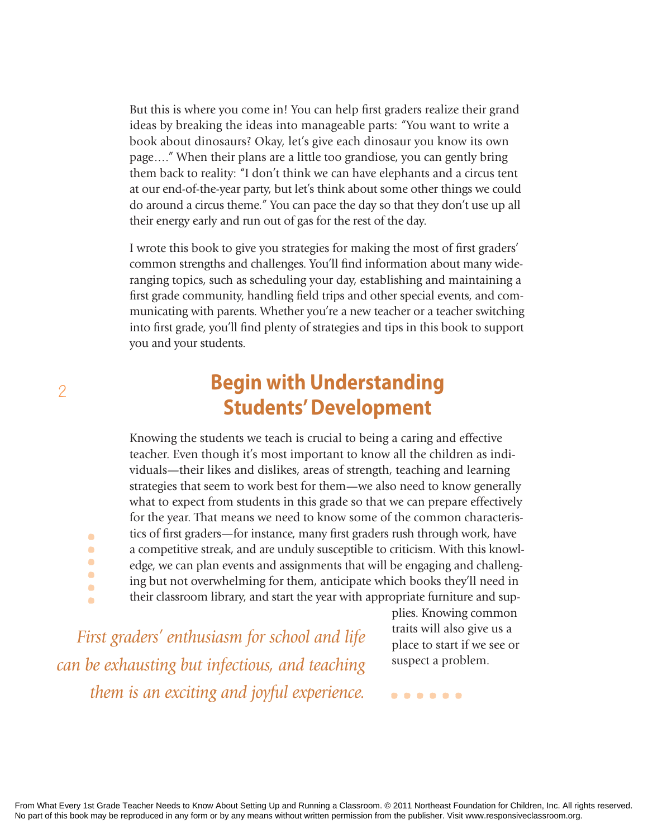But this is where you come in! You can help first graders realize their grand ideas by breaking the ideas into manageable parts: "You want to write a book about dinosaurs? Okay, let's give each dinosaur you know its own page...." When their plans are a little too grandiose, you can gently bring them back to reality: "I don't think we can have elephants and a circus tent at our end-of-the-year party, but let's think about some other things we could do around a circus theme." You can pace the day so that they don't use up all their energy early and run out of gas for the rest of the day.

I wrote this book to give you strategies for making the most of first graders' common strengths and challenges. You'll find information about many wideranging topics, such as scheduling your day, establishing and maintaining a first grade community, handling field trips and other special events, and communicating with parents. Whether you're a new teacher or a teacher switching into first grade, you'll find plenty of strategies and tips in this book to support you and your students.

# **Begin with Understanding Students' Development**

Knowing the students we teach is crucial to being a caring and effective teacher. Even though it's most important to know all the children as individuals—their likes and dislikes, areas of strength, teaching and learning strategies that seem to work best for them—we also need to know generally what to expect from students in this grade so that we can prepare effectively for the year. That means we need to know some of the common characteristics of first graders—for instance, many first graders rush through work, have a competitive streak, and are unduly susceptible to criticism. With this knowledge, we can plan events and assignments that will be engaging and challenging but not overwhelming for them, anticipate which books they'll need in their classroom library, and start the year with appropriate furniture and sup-

*First graders' enthusiasm for school and life can be exhausting but infectious, and teaching* **them is an experience.** This and are unduly susceptible edge, we can plan events and assignments that ing but not overwhelming for them, anticipat their classroom library, and start the year with first graders' enthusiasm

plies. Knowing common traits will also give us a place to start if we see or suspect a problem. **......**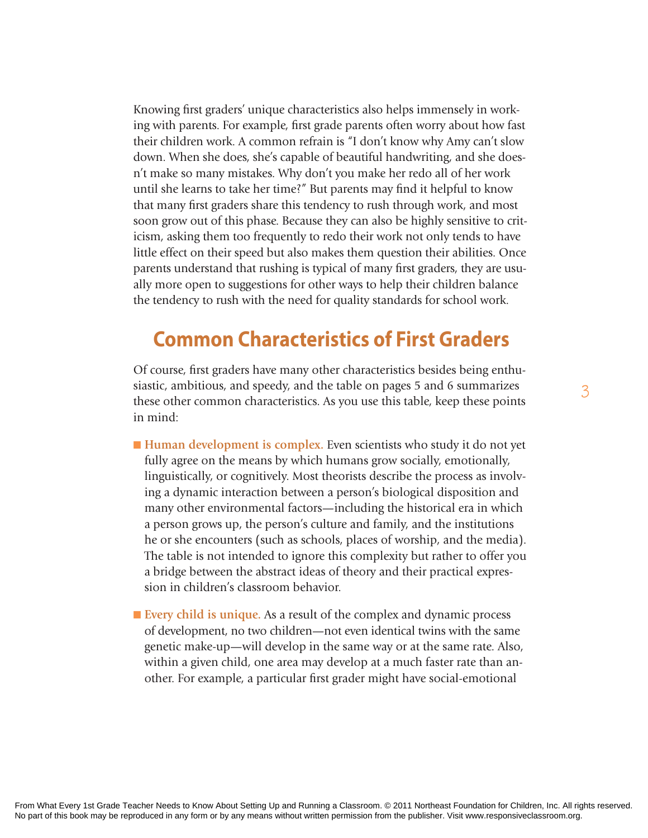Knowing first graders' unique characteristics also helps immensely in working with parents. For example, first grade parents often worry about how fast their children work. A common refrain is "I don't know why Amy can't slow down. When she does, she's capable of beautiful handwriting, and she doesn't make so many mistakes. Why don't you make her redo all of her work until she learns to take her time?" But parents may find it helpful to know that many first graders share this tendency to rush through work, and most soon grow out of this phase. Because they can also be highly sensitive to criticism, asking them too frequently to redo their work not only tends to have little effect on their speed but also makes them question their abilities. Once parents understand that rushing is typical of many first graders, they are usually more open to suggestions for other ways to help their children balance the tendency to rush with the need for quality standards for school work.

# **Common Characteristics of First Graders**

Of course, first graders have many other characteristics besides being enthusiastic, ambitious, and speedy, and the table on pages 5 and 6 summarizes these other common characteristics. As you use this table, keep these points in mind:

- Human development is complex. Even scientists who study it do not yet fully agree on the means by which humans grow socially, emotionally, linguistically, or cognitively. Most theorists describe the process as involving a dynamic interaction between a person's biological disposition and many other environmental factors—including the historical era in which a person grows up, the person's culture and family, and the institutions he or she encounters (such as schools, places of worship, and the media). The table is not intended to ignore this complexity but rather to offer you a bridge between the abstract ideas of theory and their practical expression in children's classroom behavior.
- Every child is unique. As a result of the complex and dynamic process of development, no two children—not even identical twins with the same genetic make-up—will develop in the same way or at the same rate. Also, within a given child, one area may develop at a much faster rate than another. For example, a particular first grader might have social-emotional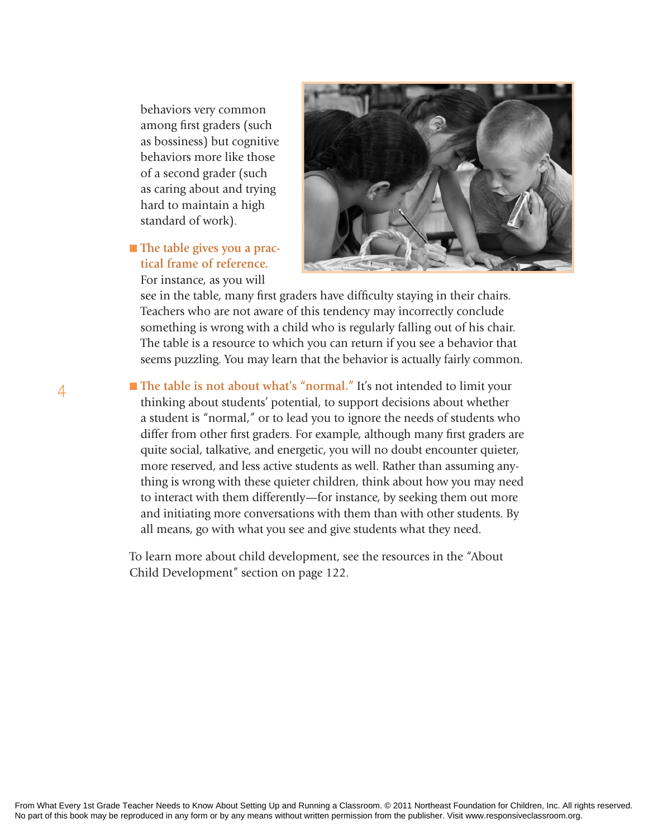behaviors very common among first graders (such as bossiness) but cognitive behaviors more like those of a second grader (such as caring about and trying hard to maintain a high standard of work).

**n** The table gives you a prac**tical frame of reference.** For instance, as you will

**4**



see in the table, many first graders have difficulty staying in their chairs. Teachers who are not aware of this tendency may incorrectly conclude something is wrong with a child who is regularly falling out of his chair. The table is a resource to which you can return if you see a behavior that seems puzzling. You may learn that the behavior is actually fairly common.

■ The table is not about what's "normal." It's not intended to limit your thinking about students' potential, to support decisions about whether a student is "normal," or to lead you to ignore the needs of students who differ from other first graders. For example, although many first graders are quite social, talkative, and energetic, you will no doubt encounter quieter, more reserved, and less active students as well. Rather than assuming anything is wrong with these quieter children, think about how you may need to interact with them differently—for instance, by seeking them out more and initiating more conversations with them than with other students. By all means, go with what you see and give students what they need.

To learn more about child development, see the resources in the "About Child Development" section on page 122.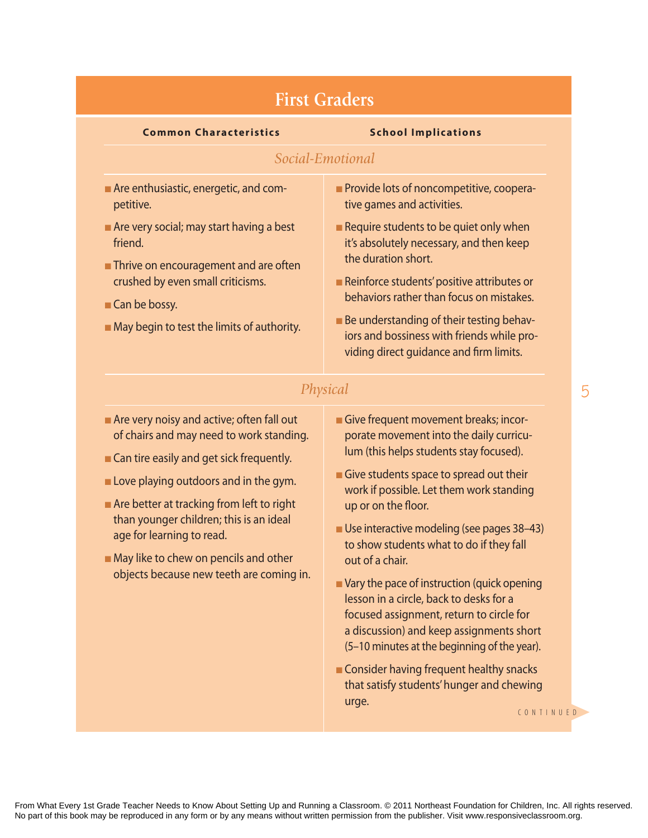# **First Graders**

#### **Common Characteristics School Implications**

### *Social-Emotional*

- **n** Are enthusiastic, energetic, and competitive.
- $\blacksquare$  Are very social; may start having a best friend.
- $\blacksquare$  Thrive on encouragement and are often crushed by even small criticisms.
- **n** Can be bossy.
- $\blacksquare$  May begin to test the limits of authority.
- **Provide lots of noncompetitive, coopera**tive games and activities.
- $\blacksquare$  Require students to be quiet only when it's absolutely necessary, and then keep the duration short.
- **n** Reinforce students' positive attributes or behaviors rather than focus on mistakes.
- **Be understanding of their testing behav**iors and bossiness with friends while providing direct guidance and firm limits.

#### *Physical*

- $\blacksquare$  Are very noisy and active; often fall out of chairs and may need to work standing.
- **n** Can tire easily and get sick frequently.
- $\blacksquare$  Love playing outdoors and in the gym.
- $\blacksquare$  Are better at tracking from left to right than younger children; this is an ideal age for learning to read.
- **n** May like to chew on pencils and other objects because new teeth are coming in.
- Give frequent movement breaks; incorporate movement into the daily curriculum (this helps students stay focused).
- $\blacksquare$  Give students space to spread out their work if possible. Let them work standing up or on the floor.
- Use interactive modeling (see pages 38–43) to show students what to do if they fall out of a chair.
- $\blacksquare$  Vary the pace of instruction (quick opening lesson in a circle, back to desks for a focused assignment, return to circle for a discussion) and keep assignments short (5–10 minutes at the beginning of the year).
- **n** Consider having frequent healthy snacks that satisfy students' hunger and chewing urge. s C O N T I N U E D

**5**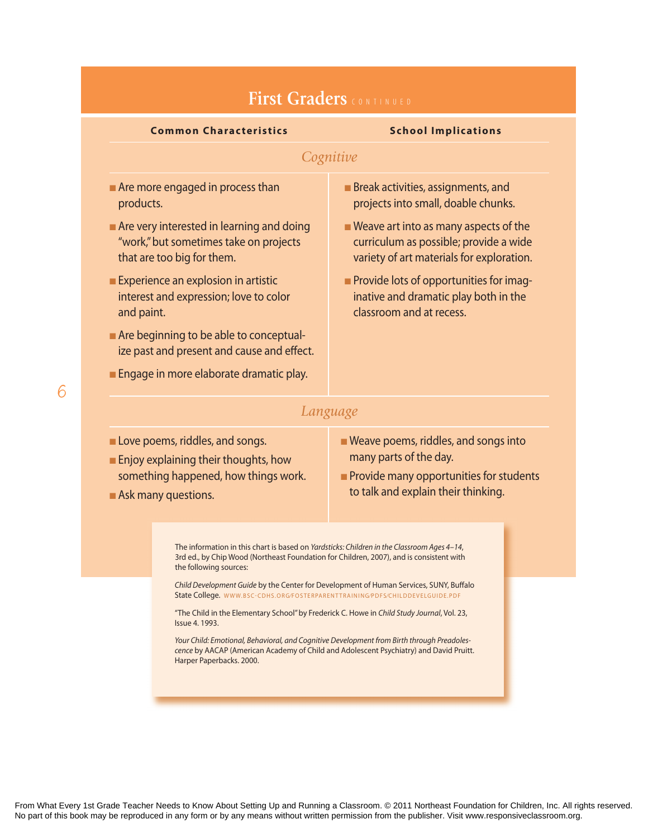## **First Graders** CONTINUED

#### **Common Characteristics School Implications**

### *Cognitive*

- $\blacksquare$  Are more engaged in process than products.
- $\blacksquare$  Are very interested in learning and doing "work," but sometimes take on projects that are too big for them.
- $\square$  Experience an explosion in artistic interest and expression; love to color and paint.
- $\blacksquare$  Are beginning to be able to conceptualize past and present and cause and effect.
- **n** Engage in more elaborate dramatic play.
- $\blacksquare$  Break activities, assignments, and projects into small, doable chunks.
- $\blacksquare$  Weave art into as many aspects of the curriculum as possible; provide a wide variety of art materials for exploration.
- **n** Provide lots of opportunities for imaginative and dramatic play both in the classroom and at recess.

#### *Language*

- **Love poems, riddles, and songs.**
- $\blacksquare$  Enjoy explaining their thoughts, how something happened, how things work.
- $\blacksquare$  Ask many questions.
- **Neave poems, riddles, and songs into** many parts of the day.
- **n** Provide many opportunities for students to talk and explain their thinking.

the information in this chart is based on *Yardsticks: Children in the Classroom Ages 4–14*, 3rd ed., by Chip Wood (Northeast foundation for Children, 2007), and is consistent with the following sources:

*Child Development Guide* by the Center for Development of human Services, SUNY, Buffalo State College. WWW.BSC-CDHS.ORG/FOSTERPARENTTRAINING/PDFS/CHILDDEVELGUIDE.PDF

"the Child in the elementary School" by frederick C. howe in *Child Study Journal*, Vol. 23, issue 4. 1993.

*Your Child: Emotional, Behavioral, and Cognitive Development from Birth through Preadolescence* by AACAP (American Academy of Child and Adolescent Psychiatry) and David Pruitt. harper Paperbacks. 2000.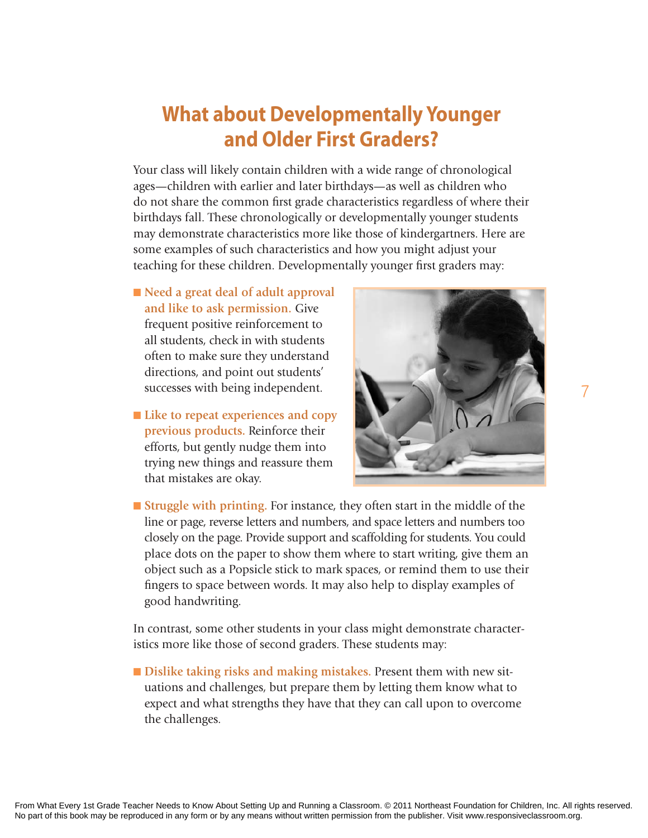# **What about Developmentally Younger and Older First Graders?**

Your class will likely contain children with a wide range of chronological ages—children with earlier and later birthdays—as well as children who do not share the common first grade characteristics regardless of where their birthdays fall. These chronologically or developmentally younger students may demonstrate characteristics more like those of kindergartners. Here are some examples of such characteristics and how you might adjust your teaching for these children. Developmentally younger first graders may:

- n **Need a great deal of adult approval and like to ask permission.** Give frequent positive reinforcement to all students, check in with students often to make sure they understand directions, and point out students' successes with being independent.
- Like to repeat experiences and copy **previous products.** Reinforce their efforts, but gently nudge them into trying new things and reassure them that mistakes are okay.



■ Struggle with printing. For instance, they often start in the middle of the line or page, reverse letters and numbers, and space letters and numbers too closely on the page. Provide support and scaffolding for students. You could place dots on the paper to show them where to start writing, give them an object such as a Popsicle stick to mark spaces, or remind them to use their fingers to space between words. It may also help to display examples of good handwriting.

In contrast, some other students in your class might demonstrate characteristics more like those of second graders. These students may:

n **Dislike taking risks and making mistakes.** Present them with new situations and challenges, but prepare them by letting them know what to expect and what strengths they have that they can call upon to overcome the challenges.

**7**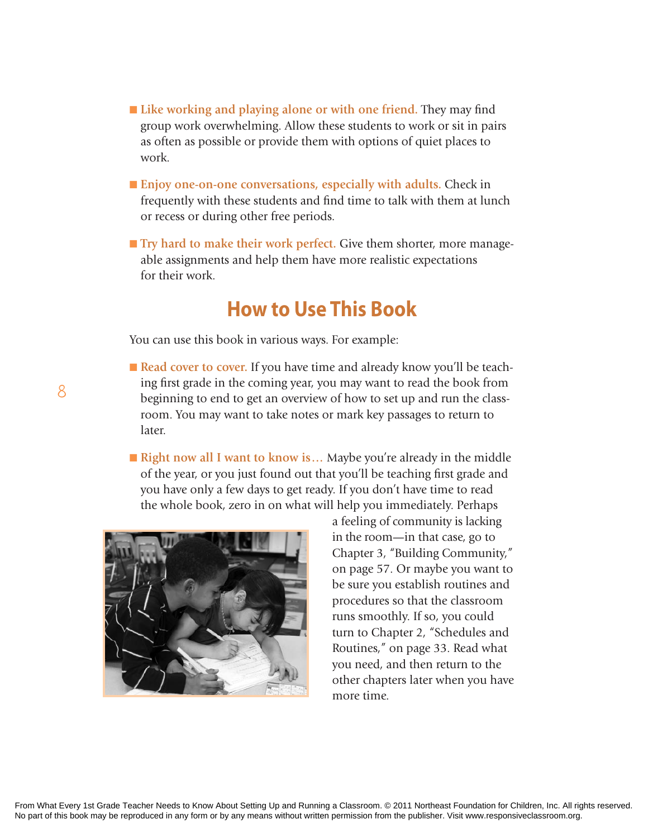- Like working and playing alone or with one friend. They may find group work overwhelming. Allow these students to work or sit in pairs as often as possible or provide them with options of quiet places to work.
- Enjoy one-on-one conversations, especially with adults. Check in frequently with these students and find time to talk with them at lunch or recess or during other free periods.
- **n Try hard to make their work perfect.** Give them shorter, more manageable assignments and help them have more realistic expectations for their work.

# **How to Use This Book**

You can use this book in various ways. For example:

- Read cover to cover. If you have time and already know you'll be teaching first grade in the coming year, you may want to read the book from beginning to end to get an overview of how to set up and run the classroom. You may want to take notes or mark key passages to return to later.
- Right now all I want to know is... Maybe you're already in the middle of the year, or you just found out that you'll be teaching first grade and you have only a few days to get ready. If you don't have time to read the whole book, zero in on what will help you immediately. Perhaps



a feeling of community is lacking in the room—in that case, go to Chapter 3, "Building Community," on page 57. Or maybe you want to be sure you establish routines and procedures so that the classroom runs smoothly. If so, you could turn to Chapter 2, "Schedules and Routines," on page 33. Read what you need, and then return to the other chapters later when you have more time.